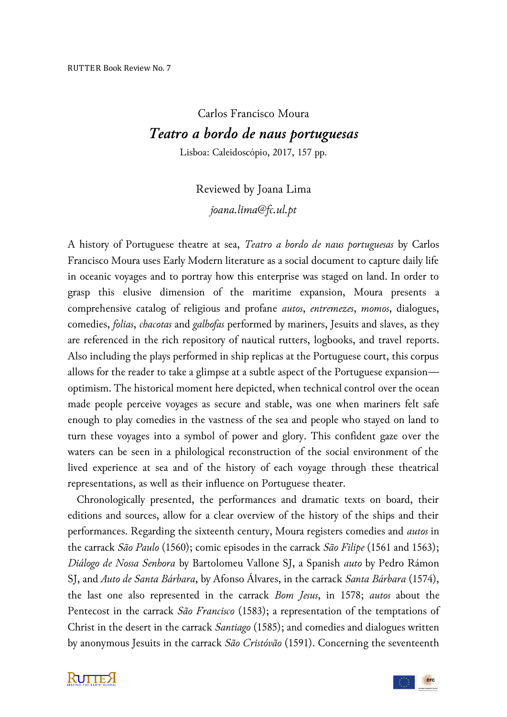## Carlos Francisco Moura *Teatro a bordo de naus portuguesas*

Lisboa: Caleidoscópio, 2017, 157 pp.

## Reviewed by Joana Lima *joana.lima@fc.ul.pt*

A history of Portuguese theatre at sea, *Teatro a bordo de naus portuguesas* by Carlos Francisco Moura uses Early Modern literature as a social document to capture daily life in oceanic voyages and to portray how this enterprise was staged on land. In order to grasp this elusive dimension of the maritime expansion, Moura presents a comprehensive catalog of religious and profane *autos*, *entremezes*, *momos*, dialogues, comedies, *folias*, *chacotas* and *galhofas* performed by mariners, Jesuits and slaves, as they are referenced in the rich repository of nautical rutters, logbooks, and travel reports. Also including the plays performed in ship replicas at the Portuguese court, this corpus allows for the reader to take a glimpse at a subtle aspect of the Portuguese expansion optimism. The historical moment here depicted, when technical control over the ocean made people perceive voyages as secure and stable, was one when mariners felt safe enough to play comedies in the vastness of the sea and people who stayed on land to turn these voyages into a symbol of power and glory. This confident gaze over the waters can be seen in a philological reconstruction of the social environment of the lived experience at sea and of the history of each voyage through these theatrical representations, as well as their influence on Portuguese theater.

 Chronologically presented, the performances and dramatic texts on board, their editions and sources, allow for a clear overview of the history of the ships and their performances. Regarding the sixteenth century, Moura registers comedies and *autos* in the carrack *São Paulo* (1560); comic episodes in the carrack *São Filipe* (1561 and 1563); *Diálogo de Nossa Senhora* by Bartolomeu Vallone SJ, a Spanish *auto* by Pedro Rámon SJ, and *Auto de Santa Bárbara*, by Afonso Álvares, in the carrack *Santa Bárbara* (1574), the last one also represented in the carrack *Bom Jesus*, in 1578; *autos* about the Pentecost in the carrack *São Francisco* (1583); a representation of the temptations of Christ in the desert in the carrack *Santiago* (1585); and comedies and dialogues written by anonymous Jesuits in the carrack *São Cristóvão* (1591). Concerning the seventeenth

**RUTTEX** 

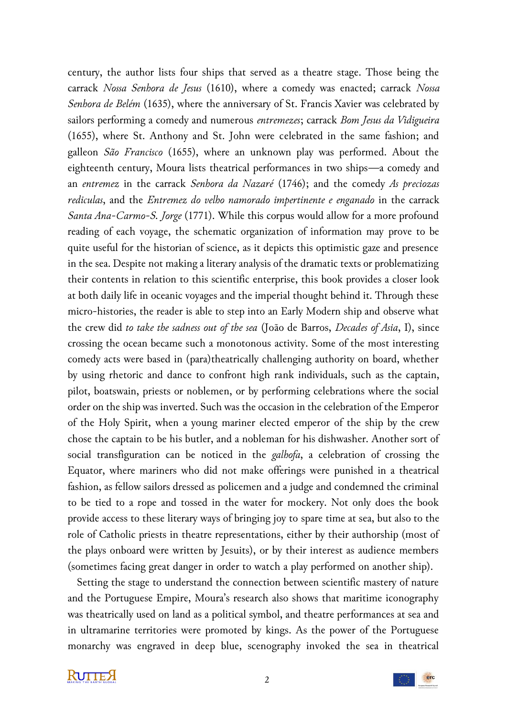century, the author lists four ships that served as a theatre stage. Those being the carrack *Nossa Senhora de Jesus* (1610), where a comedy was enacted; carrack *Nossa Senhora de Belém* (1635), where the anniversary of St. Francis Xavier was celebrated by sailors performing a comedy and numerous *entremezes*; carrack *Bom Jesus da Vidigueira*  (1655), where St. Anthony and St. John were celebrated in the same fashion; and galleon *São Francisco* (1655), where an unknown play was performed. About the eighteenth century, Moura lists theatrical performances in two ships—a comedy and an *entremez* in the carrack *Senhora da Nazaré* (1746); and the comedy *As preciozas rediculas*, and the *Entremez do velho namorado impertinente e enganado* in the carrack *Santa Ana-Carmo-S. Jorge* (1771). While this corpus would allow for a more profound reading of each voyage, the schematic organization of information may prove to be quite useful for the historian of science, as it depicts this optimistic gaze and presence in the sea. Despite not making a literary analysis of the dramatic texts or problematizing their contents in relation to this scientific enterprise, this book provides a closer look at both daily life in oceanic voyages and the imperial thought behind it. Through these micro-histories, the reader is able to step into an Early Modern ship and observe what the crew did *to take the sadness out of the sea* (João de Barros, *Decades of Asia*, I), since crossing the ocean became such a monotonous activity. Some of the most interesting comedy acts were based in (para)theatrically challenging authority on board, whether by using rhetoric and dance to confront high rank individuals, such as the captain, pilot, boatswain, priests or noblemen, or by performing celebrations where the social order on the ship was inverted. Such was the occasion in the celebration of the Emperor of the Holy Spirit, when a young mariner elected emperor of the ship by the crew chose the captain to be his butler, and a nobleman for his dishwasher. Another sort of social transfiguration can be noticed in the *galhofa*, a celebration of crossing the Equator, where mariners who did not make offerings were punished in a theatrical fashion, as fellow sailors dressed as policemen and a judge and condemned the criminal to be tied to a rope and tossed in the water for mockery. Not only does the book provide access to these literary ways of bringing joy to spare time at sea, but also to the role of Catholic priests in theatre representations, either by their authorship (most of the plays onboard were written by Jesuits), or by their interest as audience members (sometimes facing great danger in order to watch a play performed on another ship).

 Setting the stage to understand the connection between scientific mastery of nature and the Portuguese Empire, Moura's research also shows that maritime iconography was theatrically used on land as a political symbol, and theatre performances at sea and in ultramarine territories were promoted by kings. As the power of the Portuguese monarchy was engraved in deep blue, scenography invoked the sea in theatrical



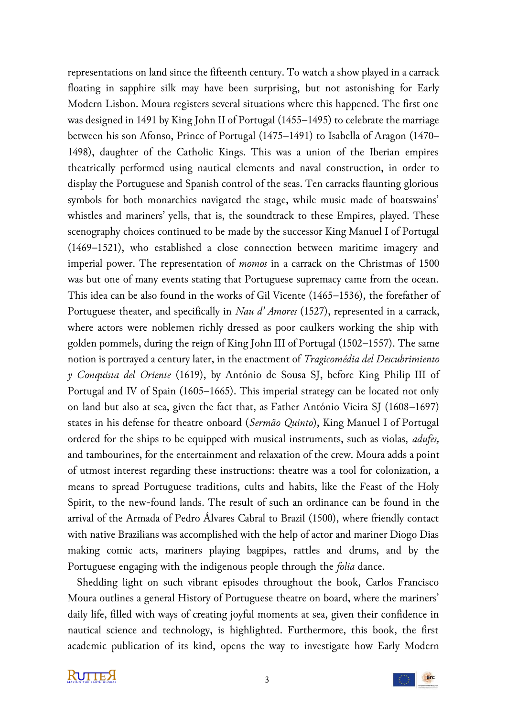representations on land since the fifteenth century. To watch a show played in a carrack floating in sapphire silk may have been surprising, but not astonishing for Early Modern Lisbon. Moura registers several situations where this happened. The first one was designed in 1491 by King John II of Portugal (1455–1495) to celebrate the marriage between his son Afonso, Prince of Portugal (1475–1491) to Isabella of Aragon (1470– 1498), daughter of the Catholic Kings. This was a union of the Iberian empires theatrically performed using nautical elements and naval construction, in order to display the Portuguese and Spanish control of the seas. Ten carracks flaunting glorious symbols for both monarchies navigated the stage, while music made of boatswains' whistles and mariners' yells, that is, the soundtrack to these Empires, played. These scenography choices continued to be made by the successor King Manuel I of Portugal (1469–1521), who established a close connection between maritime imagery and imperial power. The representation of *momos* in a carrack on the Christmas of 1500 was but one of many events stating that Portuguese supremacy came from the ocean. This idea can be also found in the works of Gil Vicente (1465–1536), the forefather of Portuguese theater, and specifically in *Nau d' Amores* (1527), represented in a carrack, where actors were noblemen richly dressed as poor caulkers working the ship with golden pommels, during the reign of King John III of Portugal (1502–1557). The same notion is portrayed a century later, in the enactment of *Tragicomédia del Descubrimiento y Conquista del Oriente* (1619), by António de Sousa SJ, before King Philip III of Portugal and IV of Spain (1605–1665). This imperial strategy can be located not only on land but also at sea, given the fact that, as Father António Vieira SJ (1608–1697) states in his defense for theatre onboard (*Sermão Quinto*), King Manuel I of Portugal ordered for the ships to be equipped with musical instruments, such as violas, *adufes,* and tambourines, for the entertainment and relaxation of the crew. Moura adds a point of utmost interest regarding these instructions: theatre was a tool for colonization, a means to spread Portuguese traditions, cults and habits, like the Feast of the Holy Spirit, to the new-found lands. The result of such an ordinance can be found in the arrival of the Armada of Pedro Álvares Cabral to Brazil (1500), where friendly contact with native Brazilians was accomplished with the help of actor and mariner Diogo Dias making comic acts, mariners playing bagpipes, rattles and drums, and by the Portuguese engaging with the indigenous people through the *folia* dance.

 Shedding light on such vibrant episodes throughout the book, Carlos Francisco Moura outlines a general History of Portuguese theatre on board, where the mariners' daily life, filled with ways of creating joyful moments at sea, given their confidence in nautical science and technology, is highlighted. Furthermore, this book, the first academic publication of its kind, opens the way to investigate how Early Modern

**KUTTE A**